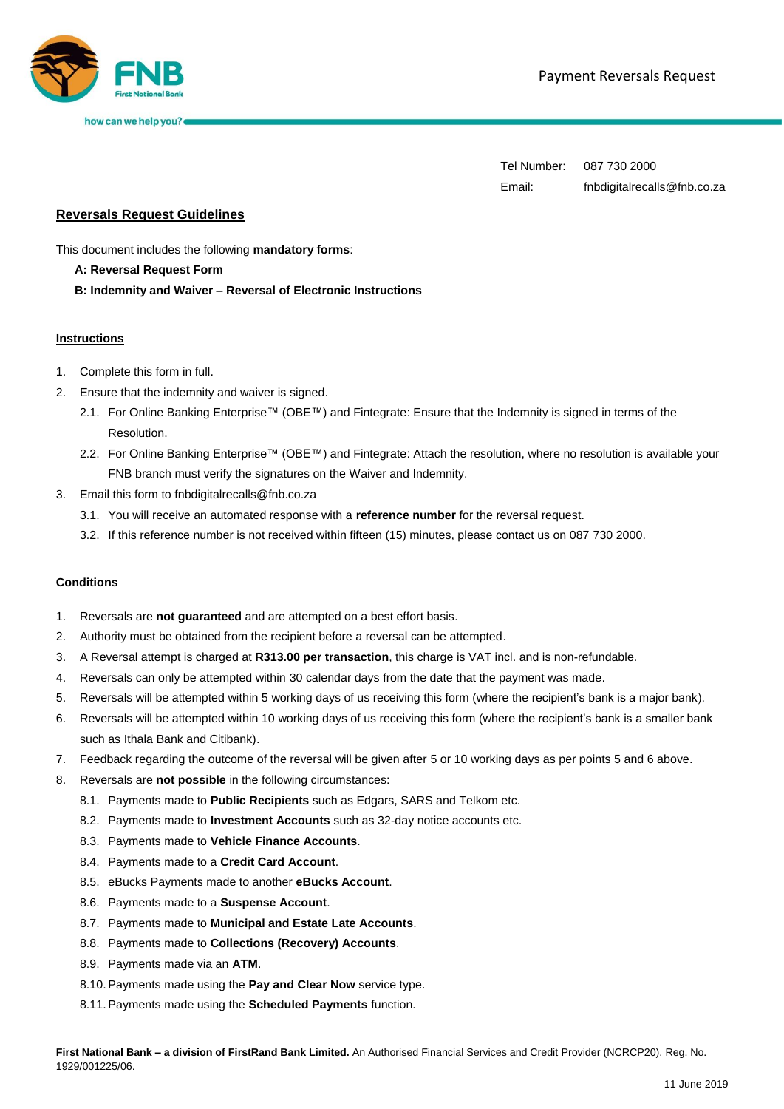

how can we help you?

Tel Number: 087 730 2000 Email: fnbdigitalrecalls@fnb.co.za

# **Reversals Request Guidelines**

This document includes the following **mandatory forms**:

### **A: Reversal Request Form**

**B: Indemnity and Waiver – Reversal of Electronic Instructions**

### **Instructions**

- 1. Complete this form in full.
- 2. Ensure that the indemnity and waiver is signed.
	- 2.1. For Online Banking Enterprise™ (OBE™) and Fintegrate: Ensure that the Indemnity is signed in terms of the Resolution.
	- 2.2. For Online Banking Enterprise™ (OBE™) and Fintegrate: Attach the resolution, where no resolution is available your FNB branch must verify the signatures on the Waiver and Indemnity.
- 3. Email this form to fnbdigitalrecalls@fnb.co.za
	- 3.1. You will receive an automated response with a **reference number** for the reversal request.
	- 3.2. If this reference number is not received within fifteen (15) minutes, please contact us on 087 730 2000.

### **Conditions**

- 1. Reversals are **not guaranteed** and are attempted on a best effort basis.
- 2. Authority must be obtained from the recipient before a reversal can be attempted.
- 3. A Reversal attempt is charged at **R313.00 per transaction**, this charge is VAT incl. and is non-refundable.
- 4. Reversals can only be attempted within 30 calendar days from the date that the payment was made.
- 5. Reversals will be attempted within 5 working days of us receiving this form (where the recipient's bank is a major bank).
- 6. Reversals will be attempted within 10 working days of us receiving this form (where the recipient's bank is a smaller bank such as Ithala Bank and Citibank).
- 7. Feedback regarding the outcome of the reversal will be given after 5 or 10 working days as per points 5 and 6 above.
- 8. Reversals are **not possible** in the following circumstances:
	- 8.1. Payments made to **Public Recipients** such as Edgars, SARS and Telkom etc.
	- 8.2. Payments made to **Investment Accounts** such as 32-day notice accounts etc.
	- 8.3. Payments made to **Vehicle Finance Accounts**.
	- 8.4. Payments made to a **Credit Card Account**.
	- 8.5. eBucks Payments made to another **eBucks Account**.
	- 8.6. Payments made to a **Suspense Account**.
	- 8.7. Payments made to **Municipal and Estate Late Accounts**.
	- 8.8. Payments made to **Collections (Recovery) Accounts**.
	- 8.9. Payments made via an **ATM**.
	- 8.10.Payments made using the **Pay and Clear Now** service type.
	- 8.11.Payments made using the **Scheduled Payments** function.

**First National Bank – a division of FirstRand Bank Limited.** An Authorised Financial Services and Credit Provider (NCRCP20). Reg. No. 1929/001225/06.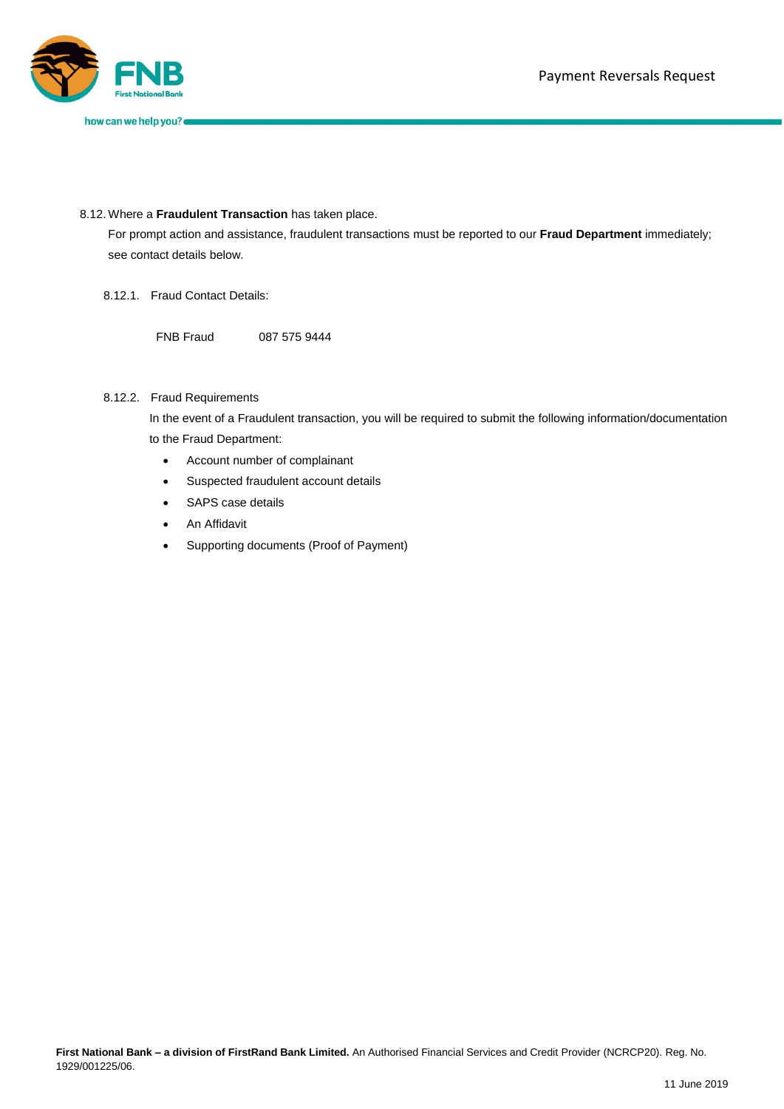

## 8.12. Where a **Fraudulent Transaction** has taken place.

For prompt action and assistance, fraudulent transactions must be reported to our **Fraud Department** immediately; see contact details below.

8.12.1. Fraud Contact Details:

FNB Fraud 087 575 9444

## 8.12.2. Fraud Requirements

In the event of a Fraudulent transaction, you will be required to submit the following information/documentation to the Fraud Department:

- Account number of complainant
- Suspected fraudulent account details
- SAPS case details
- An Affidavit
- Supporting documents (Proof of Payment)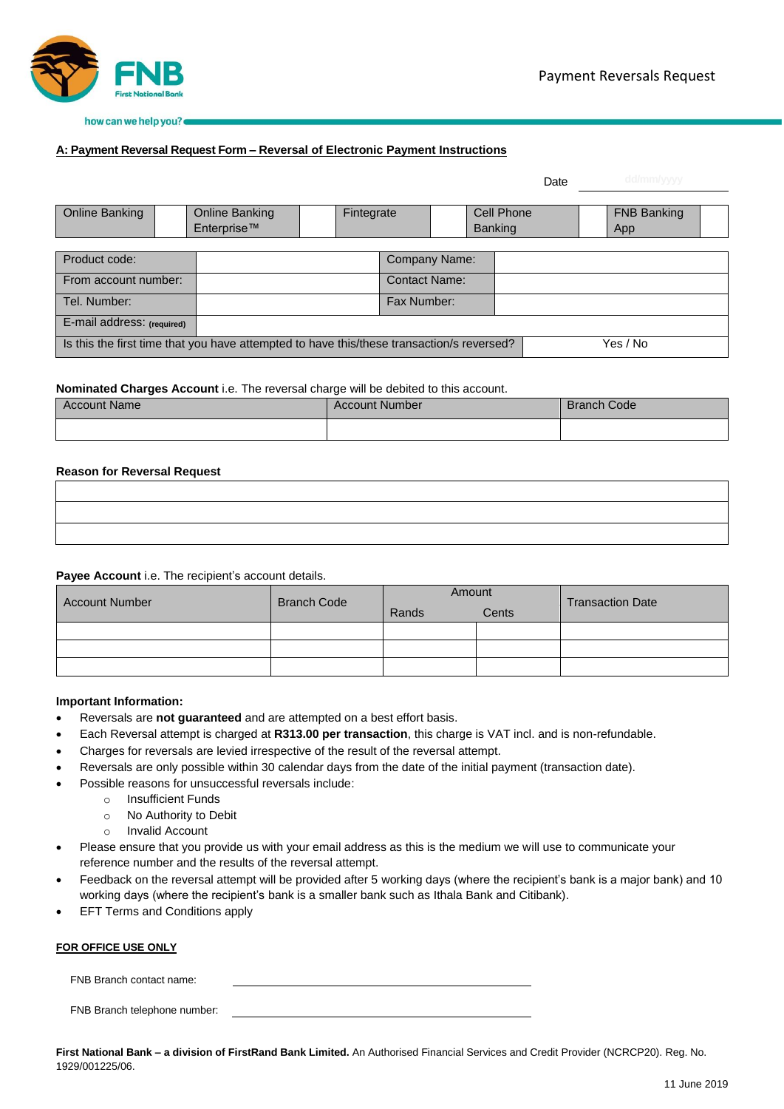

## **A: Payment Reversal Request Form – Reversal of Electronic Payment Instructions**

|                                                                                                       |  |                |            |                      |  |            |  | Date | dd/mm/yyyy         |  |
|-------------------------------------------------------------------------------------------------------|--|----------------|------------|----------------------|--|------------|--|------|--------------------|--|
|                                                                                                       |  |                |            |                      |  |            |  |      |                    |  |
| Online Banking                                                                                        |  | Online Banking | Fintegrate |                      |  | Cell Phone |  |      | <b>FNB Banking</b> |  |
|                                                                                                       |  | Enterprise™    |            |                      |  | Banking    |  |      | App                |  |
|                                                                                                       |  |                |            |                      |  |            |  |      |                    |  |
| Product code:                                                                                         |  |                |            | Company Name:        |  |            |  |      |                    |  |
| From account number:                                                                                  |  |                |            | <b>Contact Name:</b> |  |            |  |      |                    |  |
| Tel. Number:                                                                                          |  |                |            | Fax Number:          |  |            |  |      |                    |  |
| E-mail address: (required)                                                                            |  |                |            |                      |  |            |  |      |                    |  |
| Is this the first time that you have attempted to have this/these transaction/s reversed?<br>Yes / No |  |                |            |                      |  |            |  |      |                    |  |

### **Nominated Charges Account** i.e. The reversal charge will be debited to this account.

| <b>Account Name</b> | <b>Account Number</b> | <b>Branch Code</b> |
|---------------------|-----------------------|--------------------|
|                     |                       |                    |

### **Reason for Reversal Request**

#### **Payee Account** i.e. The recipient's account details.

| <b>Account Number</b> | <b>Branch Code</b> | Amount |       | <b>Transaction Date</b> |  |
|-----------------------|--------------------|--------|-------|-------------------------|--|
|                       |                    | Rands  | Cents |                         |  |
|                       |                    |        |       |                         |  |
|                       |                    |        |       |                         |  |
|                       |                    |        |       |                         |  |

### **Important Information:**

- Reversals are **not guaranteed** and are attempted on a best effort basis.
- Each Reversal attempt is charged at **R313.00 per transaction**, this charge is VAT incl. and is non-refundable.
- Charges for reversals are levied irrespective of the result of the reversal attempt.
- Reversals are only possible within 30 calendar days from the date of the initial payment (transaction date).
- Possible reasons for unsuccessful reversals include:
	- o Insufficient Funds
	- o No Authority to Debit
	- o Invalid Account
- Please ensure that you provide us with your email address as this is the medium we will use to communicate your reference number and the results of the reversal attempt.
- Feedback on the reversal attempt will be provided after 5 working days (where the recipient's bank is a major bank) and 10 working days (where the recipient's bank is a smaller bank such as Ithala Bank and Citibank).
- EFT Terms and Conditions apply

### **FOR OFFICE USE ONLY**

FNB Branch contact name:

FNB Branch telephone number:

**First National Bank – a division of FirstRand Bank Limited.** An Authorised Financial Services and Credit Provider (NCRCP20). Reg. No. 1929/001225/06.